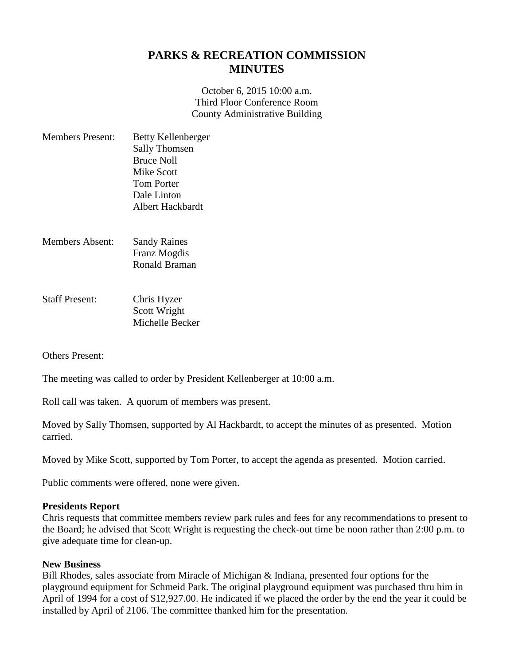## **PARKS & RECREATION COMMISSION MINUTES**

October 6, 2015 10:00 a.m. Third Floor Conference Room County Administrative Building

| <b>Members Present:</b> | Betty Kellenberger   |
|-------------------------|----------------------|
|                         | <b>Sally Thomsen</b> |
|                         | <b>Bruce Noll</b>    |
|                         | Mike Scott           |
|                         | <b>Tom Porter</b>    |
|                         | Dale Linton          |
|                         | Albert Hackbardt     |
|                         |                      |

- Members Absent: Sandy Raines Franz Mogdis Ronald Braman
- Staff Present: Chris Hyzer Scott Wright Michelle Becker

Others Present:

The meeting was called to order by President Kellenberger at 10:00 a.m.

Roll call was taken. A quorum of members was present.

Moved by Sally Thomsen, supported by Al Hackbardt, to accept the minutes of as presented. Motion carried.

Moved by Mike Scott, supported by Tom Porter, to accept the agenda as presented. Motion carried.

Public comments were offered, none were given.

## **Presidents Report**

Chris requests that committee members review park rules and fees for any recommendations to present to the Board; he advised that Scott Wright is requesting the check-out time be noon rather than 2:00 p.m. to give adequate time for clean-up.

## **New Business**

Bill Rhodes, sales associate from Miracle of Michigan & Indiana, presented four options for the playground equipment for Schmeid Park. The original playground equipment was purchased thru him in April of 1994 for a cost of \$12,927.00. He indicated if we placed the order by the end the year it could be installed by April of 2106. The committee thanked him for the presentation.